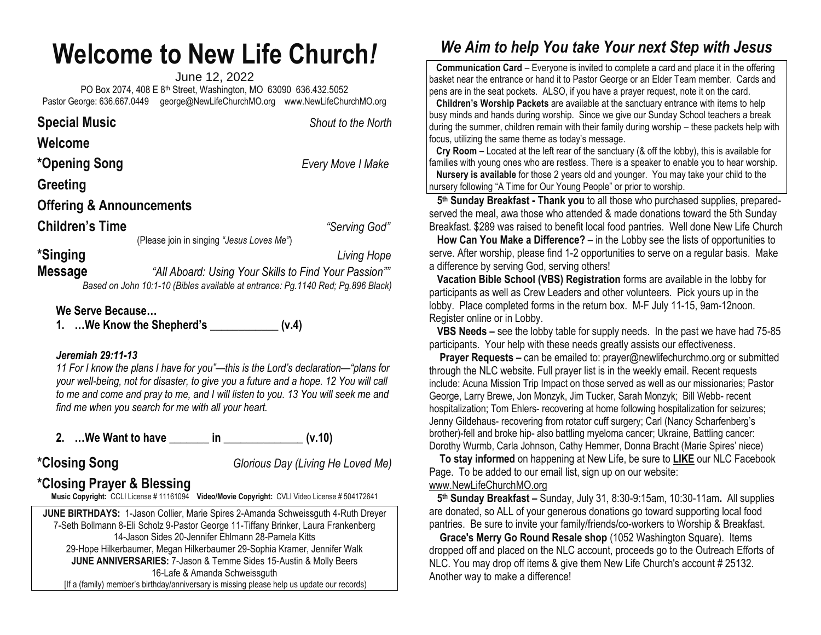# **Welcome to New Life Church***!*

June 12, 2022 PO Box 2074, 408 E 8th Street, Washington, MO 63090 636.432.5052 Pastor George: 636.667.0449 [george@NewLifeChurchMO.org](mailto:george@NewLifeChurchMO.org) [www.NewLifeChurchMO.org](http://www.newlifechurchmo.org/)

| <b>Special Music</b>                |                                           | Shout to the North |  |
|-------------------------------------|-------------------------------------------|--------------------|--|
| Welcome                             |                                           |                    |  |
| *Opening Song                       |                                           | Every Move I Make  |  |
| Greeting                            |                                           |                    |  |
| <b>Offering &amp; Announcements</b> |                                           |                    |  |
| <b>Children's Time</b>              |                                           | "Serving God"      |  |
|                                     | (Please join in singing "Jesus Loves Me") |                    |  |
| *Singing                            |                                           | Living Hope        |  |

**Message** *"All Aboard: Using Your Skills to Find Your Passion"" Based on John 10:1-10 (Bibles available at entrance: Pg.1140 Red; Pg.896 Black)*

## **We Serve Because…**

**1. …We Know the Shepherd's \_\_\_\_\_\_\_\_\_\_\_\_ (v.4)**

## *Jeremiah 29:11-13*

*11 For I know the plans I have for you"—this is the Lord's declaration—"plans for your well-being, not for disaster, to give you a future and a hope. 12 You will call to me and come and pray to me, and I will listen to you. 13 You will seek me and find me when you search for me with all your heart.*

**2. …We Want to have \_\_\_\_\_\_\_ in \_\_\_\_\_\_\_\_\_\_\_\_\_\_ (v.10)**

**\*Closing Song** *Glorious Day (Living He Loved Me)*

# **\*Closing Prayer & Blessing**

**Music Copyright:** CCLI License # 11161094 **Video/Movie Copyright:** CVLI Video License # 504172641

**JUNE BIRTHDAYS:** 1-Jason Collier, Marie Spires 2-Amanda Schweissguth 4-Ruth Dreyer 7-Seth Bollmann 8-Eli Scholz 9-Pastor George 11-Tiffany Brinker, Laura Frankenberg 14-Jason Sides 20-Jennifer Ehlmann 28-Pamela Kitts 29-Hope Hilkerbaumer, Megan Hilkerbaumer 29-Sophia Kramer, Jennifer Walk **JUNE ANNIVERSARIES:** 7-Jason & Temme Sides 15-Austin & Molly Beers 16-Lafe & Amanda Schweissguth [If a (family) member's birthday/anniversary is missing please help us update our records)

# *We Aim to help You take Your next Step with Jesus*

 **Communication Card** – Everyone is invited to complete a card and place it in the offering basket near the entrance or hand it to Pastor George or an Elder Team member. Cards and pens are in the seat pockets. ALSO, if you have a prayer request, note it on the card.

 **Children's Worship Packets** are available at the sanctuary entrance with items to help busy minds and hands during worship. Since we give our Sunday School teachers a break during the summer, children remain with their family during worship – these packets help with focus, utilizing the same theme as today's message.

 **Cry Room –** Located at the left rear of the sanctuary (& off the lobby), this is available for families with young ones who are restless. There is a speaker to enable you to hear worship.

 **Nursery is available** for those 2 years old and younger. You may take your child to the nursery following "A Time for Our Young People" or prior to worship.

 **5 th Sunday Breakfast - Thank you** to all those who purchased supplies, preparedserved the meal, awa those who attended & made donations toward the 5th Sunday Breakfast. \$289 was raised to benefit local food pantries. Well done New Life Church

 **How Can You Make a Difference?** – in the Lobby see the lists of opportunities to serve. After worship, please find 1-2 opportunities to serve on a regular basis. Make a difference by serving God, serving others!

 **Vacation Bible School (VBS) Registration** forms are available in the lobby for participants as well as Crew Leaders and other volunteers. Pick yours up in the lobby. Place completed forms in the return box. M-F July 11-15, 9am-12noon. Register online or in Lobby.

 **VBS Needs –** see the lobby table for supply needs. In the past we have had 75-85 participants. Your help with these needs greatly assists our effectiveness.

 **Prayer Requests –** can be emailed to[: prayer@newlifechurchmo.org](about:blank) or submitted through the NLC website. Full prayer list is in the weekly email. Recent requests include: Acuna Mission Trip Impact on those served as well as our missionaries; Pastor George, Larry Brewe, Jon Monzyk, Jim Tucker, Sarah Monzyk; Bill Webb- recent hospitalization; Tom Ehlers- recovering at home following hospitalization for seizures; Jenny Gildehaus- recovering from rotator cuff surgery; Carl (Nancy Scharfenberg's brother)-fell and broke hip- also battling myeloma cancer; Ukraine, Battling cancer: Dorothy Wurmb, Carla Johnson, Cathy Hemmer, Donna Bracht (Marie Spires' niece)

 **To stay informed** on happening at New Life, be sure to **LIKE** our NLC Facebook Page. To be added to our email list, sign up on our website: [www.NewLifeChurchMO.org](about:blank)

 **5 th Sunday Breakfast –** Sunday, July 31, 8:30-9:15am, 10:30-11am**.** All supplies are donated, so ALL of your generous donations go toward supporting local food pantries. Be sure to invite your family/friends/co-workers to Worship & Breakfast.

 **Grace's Merry Go Round Resale shop** (1052 Washington Square). Items dropped off and placed on the NLC account, proceeds go to the Outreach Efforts of NLC. You may drop off items & give them New Life Church's account # 25132. Another way to make a difference!